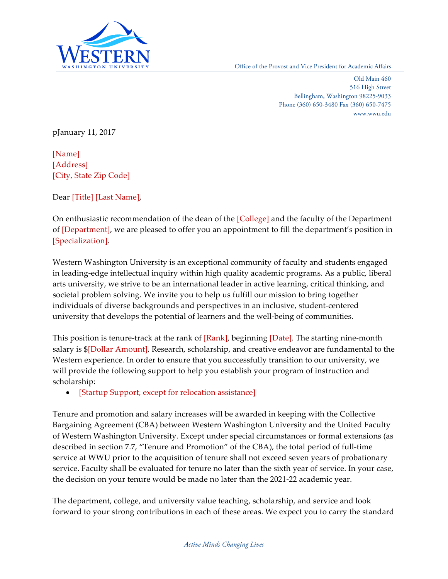

WASHINGTON UNIVERSITY Office of the Provost and Vice President for Academic Affairs

 Old Main 460 Bellingham, Washington 98225-9033 Phone (360) 650-3480 Fax (360) 650-7475 516 High Street <www.wwu.edu>

pJanuary 11, 2017

 [Address] [City, State Zip Code] [Name]

Dear [Title] [Last Name],

On enthusiastic recommendation of the dean of the [College] and the faculty of the Department of [Department], we are pleased to offer you an appointment to fill the department's position in [Specialization].

 Western Washington University is an exceptional community of faculty and students engaged in leading-edge intellectual inquiry within high quality academic programs. As a public, liberal societal problem solving. We invite you to help us fulfill our mission to bring together individuals of diverse backgrounds and perspectives in an inclusive, student-centered university that develops the potential of learners and the well-being of communities. arts university, we strive to be an international leader in active learning, critical thinking, and

This position is tenure-track at the rank of [Rank], beginning [Date]. The starting nine-month salary is \$[Dollar Amount]. Research, scholarship, and creative endeavor are fundamental to the Western experience. In order to ensure that you successfully transition to our university, we will provide the following support to help you establish your program of instruction and scholarship:

• [Startup Support, except for relocation assistance]

 Tenure and promotion and salary increases will be awarded in keeping with the Collective Bargaining Agreement (CBA) between Western Washington University and the United Faculty of Western Washington University*.* Except under special circumstances or formal extensions (as described in section 7.7, "Tenure and Promotion" of the CBA), the total period of full-time service at WWU prior to the acquisition of tenure shall not exceed seven years of probationary service. Faculty shall be evaluated for tenure no later than the sixth year of service. In your case, the decision on your tenure would be made no later than the 2021-22 academic year.

 The department, college, and university value teaching, scholarship, and service and look forward to your strong contributions in each of these areas. We expect you to carry the standard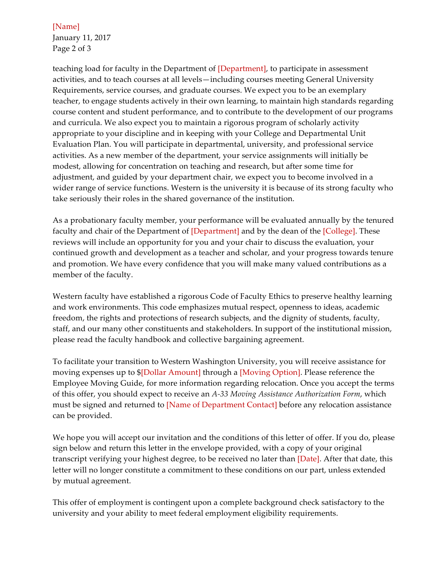January 11, 2017 [Name] Page 2 of 3

teaching load for faculty in the Department of [Department], to participate in assessment activities, and to teach courses at all levels—including courses meeting General University Requirements, service courses, and graduate courses. We expect you to be an exemplary teacher, to engage students actively in their own learning, to maintain high standards regarding course content and student performance, and to contribute to the development of our programs and curricula. We also expect you to maintain a rigorous program of scholarly activity appropriate to your discipline and in keeping with your College and Departmental Unit Evaluation Plan. You will participate in departmental, university, and professional service activities. As a new member of the department, your service assignments will initially be modest, allowing for concentration on teaching and research, but after some time for adjustment, and guided by your department chair, we expect you to become involved in a wider range of service functions. Western is the university it is because of its strong faculty who take seriously their roles in the shared governance of the institution.

 As a probationary faculty member, your performance will be evaluated annually by the tenured faculty and chair of the Department of [Department] and by the dean of the [College]. These reviews will include an opportunity for you and your chair to discuss the evaluation, your continued growth and development as a teacher and scholar, and your progress towards tenure and promotion. We have every confidence that you will make many valued contributions as a member of the faculty.

 Western faculty have established a rigorous Code of Faculty Ethics to preserve healthy learning and work environments. This code emphasizes mutual respect, openness to ideas, academic freedom, the rights and protections of research subjects, and the dignity of students, faculty, staff, and our many other constituents and stakeholders. In support of the institutional mission, please read the faculty handbook and collective bargaining agreement.

 To facilitate your transition to Western Washington University, you will receive assistance for moving expenses up to \$[Dollar Amount] through a [Moving Option]. Please reference the Employee Moving Guide, for more information regarding relocation. Once you accept the terms of this offer, you should expect to receive an *A-33 Moving Assistance Authorization Form*, which must be signed and returned to [Name of Department Contact] before any relocation assistance can be provided.

 We hope you will accept our invitation and the conditions of this letter of offer. If you do, please sign below and return this letter in the envelope provided, with a copy of your original transcript verifying your highest degree, to be received no later than [Date]. After that date, this letter will no longer constitute a commitment to these conditions on our part, unless extended by mutual agreement.

 This offer of employment is contingent upon a complete background check satisfactory to the university and your ability to meet federal employment eligibility requirements.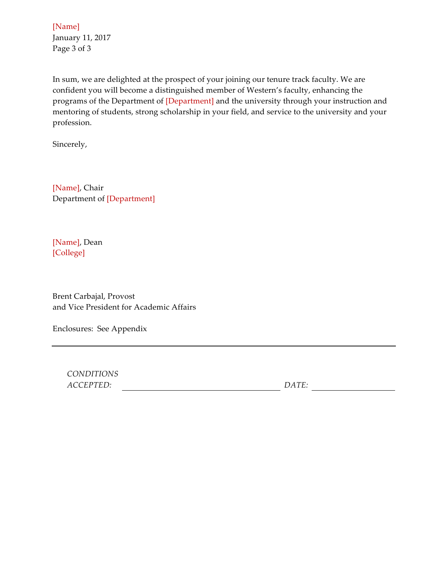January 11, 2017 [Name] Page 3 of 3

 In sum, we are delighted at the prospect of your joining our tenure track faculty. We are confident you will become a distinguished member of Western's faculty, enhancing the programs of the Department of [Department] and the university through your instruction and mentoring of students, strong scholarship in your field, and service to the university and your profession.

Sincerely,

 Department of [Department] [Name], Chair

[Name], Dean [College]

 Brent Carbajal, Provost and Vice President for Academic Affairs

Enclosures: See Appendix

*CONDITIONS ACCEPTED: DATE:*